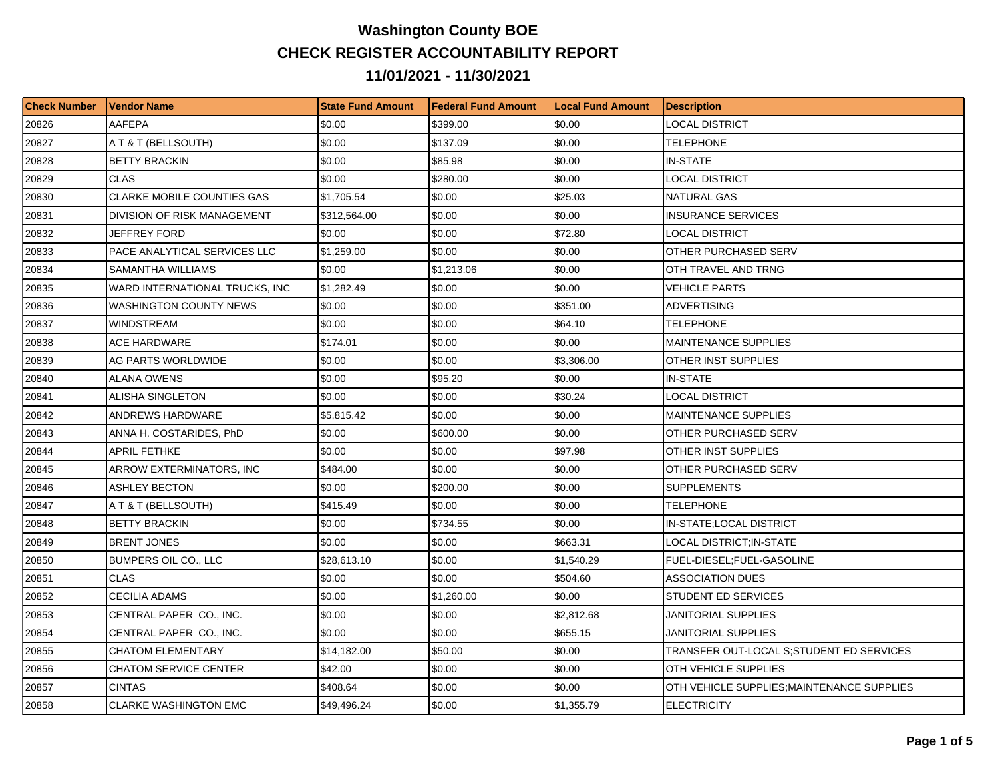## **Washington County BOE CHECK REGISTER ACCOUNTABILITY REPORT 11/01/2021 - 11/30/2021**

| <b>Check Number</b> | <b>Vendor Name</b>                | <b>State Fund Amount</b> | l Federal Fund Amount | <b>ILocal Fund Amount</b> | <b>Description</b>                        |
|---------------------|-----------------------------------|--------------------------|-----------------------|---------------------------|-------------------------------------------|
| 20826               | AAFEPA                            | \$0.00                   | \$399.00              | \$0.00                    | LOCAL DISTRICT                            |
| 20827               | A T & T (BELLSOUTH)               | \$0.00                   | \$137.09              | \$0.00                    | <b>TELEPHONE</b>                          |
| 20828               | <b>BETTY BRACKIN</b>              | \$0.00                   | \$85.98               | \$0.00                    | <b>IN-STATE</b>                           |
| 20829               | <b>CLAS</b>                       | \$0.00                   | \$280.00              | \$0.00                    | LOCAL DISTRICT                            |
| 20830               | <b>CLARKE MOBILE COUNTIES GAS</b> | \$1,705.54               | \$0.00                | \$25.03                   | NATURAL GAS                               |
| 20831               | DIVISION OF RISK MANAGEMENT       | \$312,564.00             | \$0.00                | \$0.00                    | <b>INSURANCE SERVICES</b>                 |
| 20832               | JEFFREY FORD                      | \$0.00                   | \$0.00                | \$72.80                   | LOCAL DISTRICT                            |
| 20833               | PACE ANALYTICAL SERVICES LLC      | \$1,259.00               | \$0.00                | \$0.00                    | OTHER PURCHASED SERV                      |
| 20834               | SAMANTHA WILLIAMS                 | \$0.00                   | \$1,213.06            | \$0.00                    | OTH TRAVEL AND TRNG                       |
| 20835               | WARD INTERNATIONAL TRUCKS, INC    | \$1,282.49               | \$0.00                | \$0.00                    | VEHICLE PARTS                             |
| 20836               | <b>WASHINGTON COUNTY NEWS</b>     | \$0.00                   | \$0.00                | \$351.00                  | ADVERTISING                               |
| 20837               | WINDSTREAM                        | \$0.00                   | \$0.00                | \$64.10                   | TELEPHONE                                 |
| 20838               | ACE HARDWARE                      | \$174.01                 | \$0.00                | \$0.00                    | MAINTENANCE SUPPLIES                      |
| 20839               | AG PARTS WORLDWIDE                | \$0.00                   | \$0.00                | \$3,306.00                | OTHER INST SUPPLIES                       |
| 20840               | ALANA OWENS                       | \$0.00                   | \$95.20               | \$0.00                    | IN-STATE                                  |
| 20841               | <b>ALISHA SINGLETON</b>           | \$0.00                   | \$0.00                | \$30.24                   | LOCAL DISTRICT                            |
| 20842               | ANDREWS HARDWARE                  | \$5,815.42               | \$0.00                | \$0.00                    | MAINTENANCE SUPPLIES                      |
| 20843               | ANNA H. COSTARIDES, PhD           | \$0.00                   | \$600.00              | \$0.00                    | OTHER PURCHASED SERV                      |
| 20844               | <b>APRIL FETHKE</b>               | \$0.00                   | \$0.00                | \$97.98                   | OTHER INST SUPPLIES                       |
| 20845               | ARROW EXTERMINATORS, INC          | \$484.00                 | \$0.00                | \$0.00                    | OTHER PURCHASED SERV                      |
| 20846               | ASHLEY BECTON                     | \$0.00                   | \$200.00              | \$0.00                    | <b>SUPPLEMENTS</b>                        |
| 20847               | A T & T (BELLSOUTH)               | \$415.49                 | \$0.00                | \$0.00                    | TELEPHONE                                 |
| 20848               | <b>BETTY BRACKIN</b>              | \$0.00                   | \$734.55              | \$0.00                    | IN-STATE;LOCAL DISTRICT                   |
| 20849               | <b>BRENT JONES</b>                | \$0.00                   | \$0.00                | \$663.31                  | LOCAL DISTRICT;IN-STATE                   |
| 20850               | BUMPERS OIL CO., LLC              | \$28,613.10              | \$0.00                | \$1,540.29                | FUEL-DIESEL;FUEL-GASOLINE                 |
| 20851               | <b>CLAS</b>                       | \$0.00                   | \$0.00                | \$504.60                  | ASSOCIATION DUES                          |
| 20852               | CECILIA ADAMS                     | \$0.00                   | \$1,260.00            | \$0.00                    | STUDENT ED SERVICES                       |
| 20853               | CENTRAL PAPER CO., INC.           | \$0.00                   | \$0.00                | \$2,812.68                | JANITORIAL SUPPLIES                       |
| 20854               | CENTRAL PAPER CO., INC.           | \$0.00                   | \$0.00                | \$655.15                  | JANITORIAL SUPPLIES                       |
| 20855               | <b>CHATOM ELEMENTARY</b>          | \$14,182.00              | \$50.00               | \$0.00                    | TRANSFER OUT-LOCAL S:STUDENT ED SERVICES  |
| 20856               | <b>CHATOM SERVICE CENTER</b>      | \$42.00                  | \$0.00                | \$0.00                    | OTH VEHICLE SUPPLIES                      |
| 20857               | <b>CINTAS</b>                     | \$408.64                 | \$0.00                | \$0.00                    | OTH VEHICLE SUPPLIES:MAINTENANCE SUPPLIES |
| 20858               | <b>CLARKE WASHINGTON EMC</b>      | \$49,496.24              | \$0.00                | \$1,355.79                | <b>ELECTRICITY</b>                        |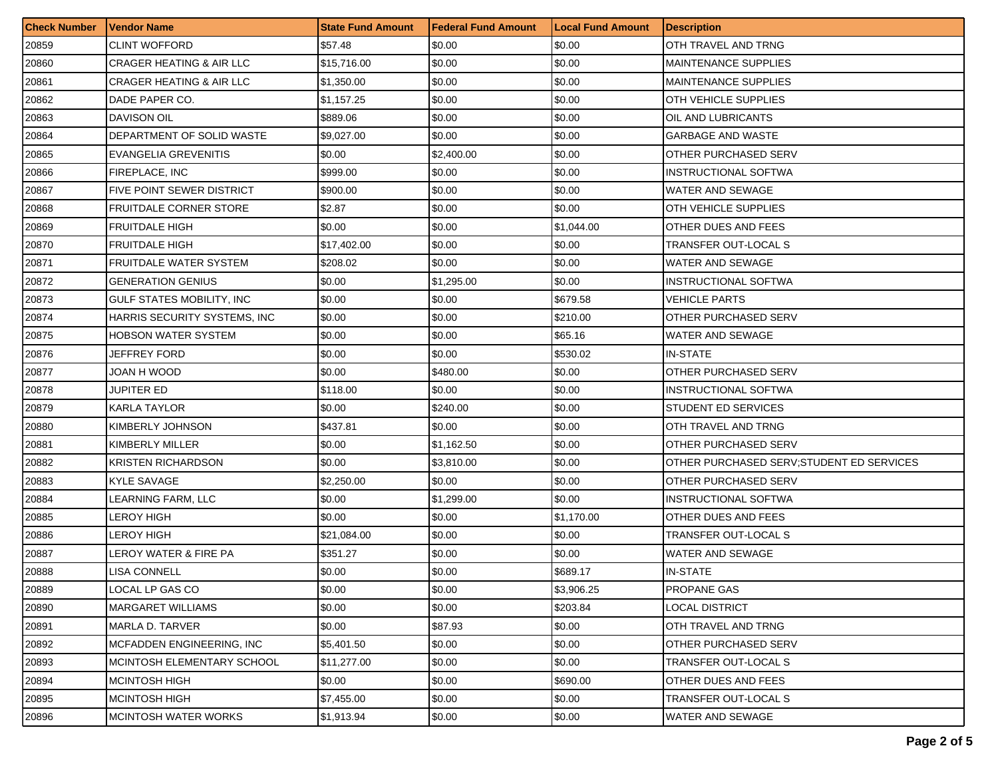| <b>Check Number</b> | Vendor Name                         | <b>State Fund Amount</b> | <b>Federal Fund Amount</b> | <b>Local Fund Amount</b> | <b>Description</b>                        |
|---------------------|-------------------------------------|--------------------------|----------------------------|--------------------------|-------------------------------------------|
| 20859               | <b>CLINT WOFFORD</b>                | \$57.48                  | \$0.00                     | \$0.00                   | OTH TRAVEL AND TRNG                       |
| 20860               | <b>CRAGER HEATING &amp; AIR LLC</b> | \$15,716.00              | \$0.00                     | \$0.00                   | <b>MAINTENANCE SUPPLIES</b>               |
| 20861               | <b>CRAGER HEATING &amp; AIR LLC</b> | \$1,350.00               | \$0.00                     | \$0.00                   | <b>MAINTENANCE SUPPLIES</b>               |
| 20862               | DADE PAPER CO.                      | \$1,157.25               | \$0.00                     | \$0.00                   | <b>OTH VEHICLE SUPPLIES</b>               |
| 20863               | <b>DAVISON OIL</b>                  | \$889.06                 | \$0.00                     | \$0.00                   | OIL AND LUBRICANTS                        |
| 20864               | DEPARTMENT OF SOLID WASTE           | \$9,027.00               | \$0.00                     | \$0.00                   | <b>GARBAGE AND WASTE</b>                  |
| 20865               | EVANGELIA GREVENITIS                | \$0.00                   | \$2,400.00                 | \$0.00                   | OTHER PURCHASED SERV                      |
| 20866               | FIREPLACE, INC                      | \$999.00                 | \$0.00                     | \$0.00                   | <b>INSTRUCTIONAL SOFTWA</b>               |
| 20867               | <b>FIVE POINT SEWER DISTRICT</b>    | \$900.00                 | \$0.00                     | \$0.00                   | WATER AND SEWAGE                          |
| 20868               | <b>FRUITDALE CORNER STORE</b>       | \$2.87                   | \$0.00                     | \$0.00                   | OTH VEHICLE SUPPLIES                      |
| 20869               | <b>FRUITDALE HIGH</b>               | \$0.00                   | \$0.00                     | \$1,044.00               | OTHER DUES AND FEES                       |
| 20870               | <b>FRUITDALE HIGH</b>               | \$17,402.00              | \$0.00                     | \$0.00                   | TRANSFER OUT-LOCAL S                      |
| 20871               | <b>FRUITDALE WATER SYSTEM</b>       | \$208.02                 | \$0.00                     | \$0.00                   | WATER AND SEWAGE                          |
| 20872               | <b>GENERATION GENIUS</b>            | \$0.00                   | \$1,295.00                 | \$0.00                   | INSTRUCTIONAL SOFTWA                      |
| 20873               | <b>GULF STATES MOBILITY. INC</b>    | \$0.00                   | \$0.00                     | \$679.58                 | VEHICLE PARTS                             |
| 20874               | HARRIS SECURITY SYSTEMS, INC.       | \$0.00                   | \$0.00                     | \$210.00                 | <b>OTHER PURCHASED SERV</b>               |
| 20875               | <b>HOBSON WATER SYSTEM</b>          | \$0.00                   | \$0.00                     | \$65.16                  | WATER AND SEWAGE                          |
| 20876               | JEFFREY FORD                        | \$0.00                   | \$0.00                     | \$530.02                 | <b>IN-STATE</b>                           |
| 20877               | JOAN H WOOD                         | \$0.00                   | \$480.00                   | \$0.00                   | OTHER PURCHASED SERV                      |
| 20878               | JUPITER ED                          | \$118.00                 | \$0.00                     | \$0.00                   | <b>INSTRUCTIONAL SOFTWA</b>               |
| 20879               | <b>KARLA TAYLOR</b>                 | \$0.00                   | \$240.00                   | \$0.00                   | STUDENT ED SERVICES                       |
| 20880               | KIMBERLY JOHNSON                    | \$437.81                 | \$0.00                     | \$0.00                   | OTH TRAVEL AND TRNG                       |
| 20881               | KIMBERLY MILLER                     | \$0.00                   | \$1,162.50                 | \$0.00                   | OTHER PURCHASED SERV                      |
| 20882               | <b>KRISTEN RICHARDSON</b>           | \$0.00                   | \$3,810.00                 | \$0.00                   | OTHER PURCHASED SERV; STUDENT ED SERVICES |
| 20883               | <b>KYLE SAVAGE</b>                  | \$2,250.00               | \$0.00                     | \$0.00                   | OTHER PURCHASED SERV                      |
| 20884               | LEARNING FARM, LLC                  | \$0.00                   | \$1,299.00                 | \$0.00                   | INSTRUCTIONAL SOFTWA                      |
| 20885               | LEROY HIGH                          | \$0.00                   | \$0.00                     | \$1,170.00               | OTHER DUES AND FEES                       |
| 20886               | LEROY HIGH                          | \$21,084.00              | \$0.00                     | \$0.00                   | TRANSFER OUT-LOCAL S                      |
| 20887               | LEROY WATER & FIRE PA               | \$351.27                 | \$0.00                     | \$0.00                   | WATER AND SEWAGE                          |
| 20888               | LISA CONNELL                        | \$0.00                   | \$0.00                     | \$689.17                 | <b>IN-STATE</b>                           |
| 20889               | LOCAL LP GAS CO                     | \$0.00                   | \$0.00                     | \$3,906.25               | <b>PROPANE GAS</b>                        |
| 20890               | <b>MARGARET WILLIAMS</b>            | \$0.00                   | \$0.00                     | \$203.84                 | <b>LOCAL DISTRICT</b>                     |
| 20891               | MARLA D. TARVER                     | \$0.00                   | \$87.93                    | \$0.00                   | OTH TRAVEL AND TRNG                       |
| 20892               | <b>MCFADDEN ENGINEERING, INC</b>    | \$5,401.50               | \$0.00                     | \$0.00                   | OTHER PURCHASED SERV                      |
| 20893               | MCINTOSH ELEMENTARY SCHOOL          | \$11,277.00              | \$0.00                     | \$0.00                   | TRANSFER OUT-LOCAL S                      |
| 20894               | <b>MCINTOSH HIGH</b>                | \$0.00                   | \$0.00                     | \$690.00                 | OTHER DUES AND FEES                       |
| 20895               | <b>MCINTOSH HIGH</b>                | \$7,455.00               | \$0.00                     | \$0.00                   | TRANSFER OUT-LOCAL S                      |
| 20896               | MCINTOSH WATER WORKS                | \$1,913.94               | \$0.00                     | \$0.00                   | WATER AND SEWAGE                          |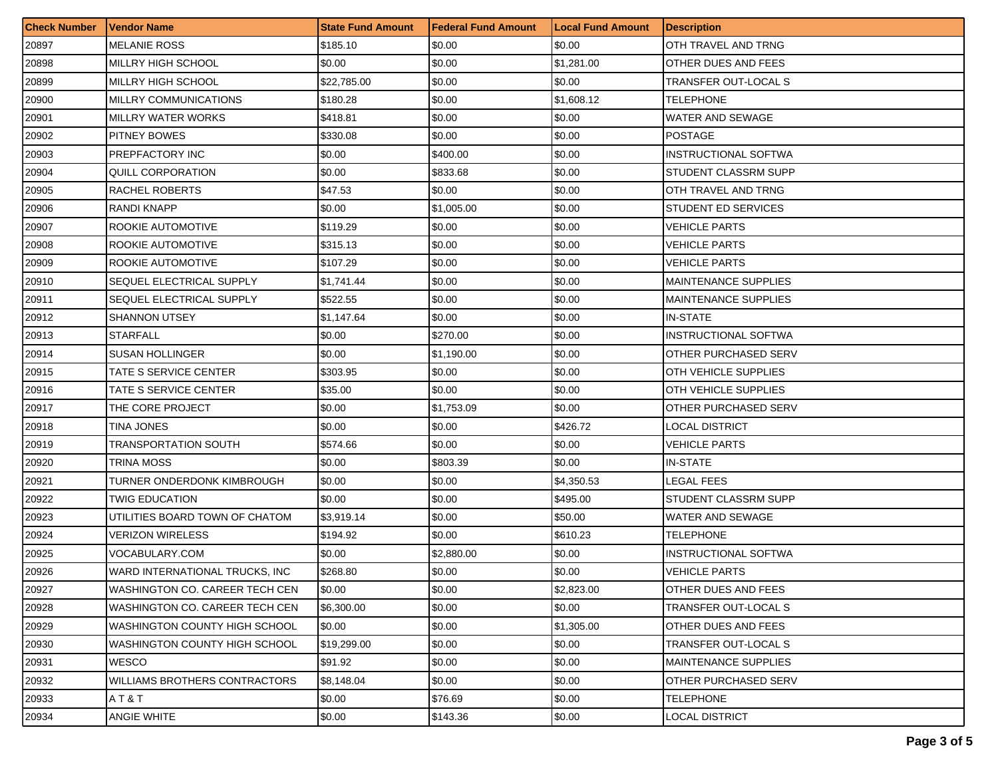| <b>Check Number</b> | Vendor Name                     | <b>State Fund Amount</b> | <b>Federal Fund Amount</b> | <b>Local Fund Amount</b> | <b>Description</b>          |
|---------------------|---------------------------------|--------------------------|----------------------------|--------------------------|-----------------------------|
| 20897               | <b>MELANIE ROSS</b>             | \$185.10                 | \$0.00                     | \$0.00                   | OTH TRAVEL AND TRNG         |
| 20898               | MILLRY HIGH SCHOOL              | \$0.00                   | \$0.00                     | \$1,281.00               | OTHER DUES AND FEES         |
| 20899               | MILLRY HIGH SCHOOL              | \$22,785.00              | \$0.00                     | \$0.00                   | TRANSFER OUT-LOCAL S        |
| 20900               | MILLRY COMMUNICATIONS           | \$180.28                 | \$0.00                     | \$1,608.12               | TELEPHONE                   |
| 20901               | MILLRY WATER WORKS              | \$418.81                 | \$0.00                     | \$0.00                   | WATER AND SEWAGE            |
| 20902               | PITNEY BOWES                    | \$330.08                 | \$0.00                     | \$0.00                   | <b>POSTAGE</b>              |
| 20903               | PREPFACTORY INC                 | \$0.00                   | \$400.00                   | \$0.00                   | <b>INSTRUCTIONAL SOFTWA</b> |
| 20904               | QUILL CORPORATION               | \$0.00                   | \$833.68                   | \$0.00                   | STUDENT CLASSRM SUPP        |
| 20905               | RACHEL ROBERTS                  | \$47.53                  | \$0.00                     | \$0.00                   | OTH TRAVEL AND TRNG         |
| 20906               | RANDI KNAPP                     | \$0.00                   | \$1,005.00                 | \$0.00                   | STUDENT ED SERVICES         |
| 20907               | ROOKIE AUTOMOTIVE               | \$119.29                 | \$0.00                     | \$0.00                   | VEHICLE PARTS               |
| 20908               | ROOKIE AUTOMOTIVE               | \$315.13                 | \$0.00                     | \$0.00                   | VEHICLE PARTS               |
| 20909               | ROOKIE AUTOMOTIVE               | \$107.29                 | \$0.00                     | \$0.00                   | VEHICLE PARTS               |
| 20910               | SEQUEL ELECTRICAL SUPPLY        | \$1,741.44               | \$0.00                     | \$0.00                   | MAINTENANCE SUPPLIES        |
| 20911               | SEQUEL ELECTRICAL SUPPLY        | \$522.55                 | \$0.00                     | \$0.00                   | <b>MAINTENANCE SUPPLIES</b> |
| 20912               | <b>SHANNON UTSEY</b>            | \$1,147.64               | \$0.00                     | \$0.00                   | <b>IN-STATE</b>             |
| 20913               | <b>STARFALL</b>                 | \$0.00                   | \$270.00                   | \$0.00                   | <b>INSTRUCTIONAL SOFTWA</b> |
| 20914               | <b>SUSAN HOLLINGER</b>          | \$0.00                   | \$1,190.00                 | \$0.00                   | OTHER PURCHASED SERV        |
| 20915               | TATE S SERVICE CENTER           | \$303.95                 | \$0.00                     | \$0.00                   | <b>OTH VEHICLE SUPPLIES</b> |
| 20916               | TATE S SERVICE CENTER           | \$35.00                  | \$0.00                     | \$0.00                   | OTH VEHICLE SUPPLIES        |
| 20917               | THE CORE PROJECT                | \$0.00                   | \$1,753.09                 | \$0.00                   | OTHER PURCHASED SERV        |
| 20918               | TINA JONES                      | \$0.00                   | \$0.00                     | \$426.72                 | LOCAL DISTRICT              |
| 20919               | TRANSPORTATION SOUTH            | \$574.66                 | \$0.00                     | \$0.00                   | VEHICLE PARTS               |
| 20920               | TRINA MOSS                      | \$0.00                   | \$803.39                   | \$0.00                   | <b>IN-STATE</b>             |
| 20921               | TURNER ONDERDONK KIMBROUGH      | \$0.00                   | \$0.00                     | \$4,350.53               | LEGAL FEES                  |
| 20922               | TWIG EDUCATION                  | \$0.00                   | \$0.00                     | \$495.00                 | STUDENT CLASSRM SUPP        |
| 20923               | UTILITIES BOARD TOWN OF CHATOM  | \$3,919.14               | \$0.00                     | \$50.00                  | WATER AND SEWAGE            |
| 20924               | <b>VERIZON WIRELESS</b>         | \$194.92                 | \$0.00                     | \$610.23                 | TELEPHONE                   |
| 20925               | VOCABULARY.COM                  | \$0.00                   | \$2,880.00                 | \$0.00                   | <b>INSTRUCTIONAL SOFTWA</b> |
| 20926               | WARD INTERNATIONAL TRUCKS. INC. | \$268.80                 | \$0.00                     | \$0.00                   | <b>VEHICLE PARTS</b>        |
| 20927               | WASHINGTON CO. CAREER TECH CEN  | \$0.00                   | \$0.00                     | \$2,823.00               | <b>OTHER DUES AND FEES</b>  |
| 20928               | WASHINGTON CO. CAREER TECH CEN  | \$6,300.00               | \$0.00                     | \$0.00                   | TRANSFER OUT-LOCAL S        |
| 20929               | WASHINGTON COUNTY HIGH SCHOOL   | \$0.00                   | \$0.00                     | \$1,305.00               | OTHER DUES AND FEES         |
| 20930               | WASHINGTON COUNTY HIGH SCHOOL   | \$19,299.00              | \$0.00                     | \$0.00                   | TRANSFER OUT-LOCAL S        |
| 20931               | <b>WESCO</b>                    | \$91.92                  | \$0.00                     | \$0.00                   | <b>MAINTENANCE SUPPLIES</b> |
| 20932               | WILLIAMS BROTHERS CONTRACTORS   | \$8,148.04               | \$0.00                     | \$0.00                   | OTHER PURCHASED SERV        |
| 20933               | AT&T                            | \$0.00                   | \$76.69                    | \$0.00                   | <b>TELEPHONE</b>            |
| 20934               | ANGIE WHITE                     | \$0.00                   | \$143.36                   | \$0.00                   | <b>LOCAL DISTRICT</b>       |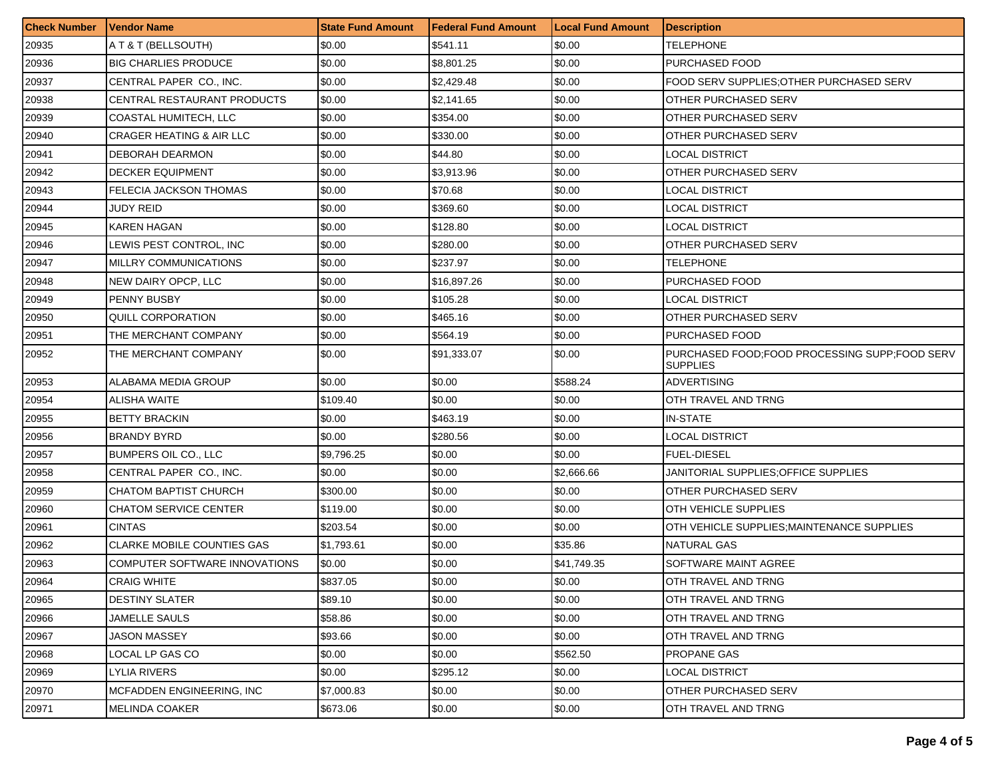| <b>Check Number</b> | Vendor Name                          | <b>State Fund Amount</b> | Federal Fund Amount | <b>Local Fund Amount</b> | <b>Description</b>                                               |
|---------------------|--------------------------------------|--------------------------|---------------------|--------------------------|------------------------------------------------------------------|
| 20935               | A T & T (BELLSOUTH)                  | \$0.00                   | \$541.11            | \$0.00                   | <b>TELEPHONE</b>                                                 |
| 20936               | <b>BIG CHARLIES PRODUCE</b>          | \$0.00                   | \$8,801.25          | \$0.00                   | PURCHASED FOOD                                                   |
| 20937               | CENTRAL PAPER CO., INC.              | \$0.00                   | \$2,429.48          | \$0.00                   | FOOD SERV SUPPLIES; OTHER PURCHASED SERV                         |
| 20938               | CENTRAL RESTAURANT PRODUCTS          | \$0.00                   | \$2,141.65          | \$0.00                   | OTHER PURCHASED SERV                                             |
| 20939               | COASTAL HUMITECH, LLC                | \$0.00                   | \$354.00            | \$0.00                   | OTHER PURCHASED SERV                                             |
| 20940               | <b>CRAGER HEATING &amp; AIR LLC</b>  | \$0.00                   | \$330.00            | \$0.00                   | OTHER PURCHASED SERV                                             |
| 20941               | <b>DEBORAH DEARMON</b>               | \$0.00                   | \$44.80             | \$0.00                   | LOCAL DISTRICT                                                   |
| 20942               | <b>DECKER EQUIPMENT</b>              | \$0.00                   | \$3,913.96          | \$0.00                   | OTHER PURCHASED SERV                                             |
| 20943               | FELECIA JACKSON THOMAS               | \$0.00                   | \$70.68             | \$0.00                   | LOCAL DISTRICT                                                   |
| 20944               | JUDY REID                            | \$0.00                   | \$369.60            | \$0.00                   | LOCAL DISTRICT                                                   |
| 20945               | KAREN HAGAN                          | \$0.00                   | \$128.80            | \$0.00                   | <b>LOCAL DISTRICT</b>                                            |
| 20946               | LEWIS PEST CONTROL, INC              | \$0.00                   | \$280.00            | \$0.00                   | OTHER PURCHASED SERV                                             |
| 20947               | MILLRY COMMUNICATIONS                | \$0.00                   | \$237.97            | \$0.00                   | TELEPHONE                                                        |
| 20948               | NEW DAIRY OPCP, LLC                  | \$0.00                   | \$16,897.26         | \$0.00                   | PURCHASED FOOD                                                   |
| 20949               | PENNY BUSBY                          | \$0.00                   | \$105.28            | \$0.00                   | LOCAL DISTRICT                                                   |
| 20950               | QUILL CORPORATION                    | \$0.00                   | \$465.16            | \$0.00                   | OTHER PURCHASED SERV                                             |
| 20951               | THE MERCHANT COMPANY                 | \$0.00                   | \$564.19            | \$0.00                   | PURCHASED FOOD                                                   |
| 20952               | THE MERCHANT COMPANY                 | \$0.00                   | \$91,333.07         | \$0.00                   | PURCHASED FOOD;FOOD PROCESSING SUPP;FOOD SERV<br><b>SUPPLIES</b> |
| 20953               | ALABAMA MEDIA GROUP                  | \$0.00                   | \$0.00              | \$588.24                 | ADVERTISING                                                      |
| 20954               | ALISHA WAITE                         | \$109.40                 | \$0.00              | \$0.00                   | OTH TRAVEL AND TRNG                                              |
| 20955               | <b>BETTY BRACKIN</b>                 | \$0.00                   | \$463.19            | \$0.00                   | IN-STATE                                                         |
| 20956               | <b>BRANDY BYRD</b>                   | \$0.00                   | \$280.56            | \$0.00                   | <b>LOCAL DISTRICT</b>                                            |
| 20957               | <b>BUMPERS OIL CO., LLC</b>          | \$9,796.25               | \$0.00              | \$0.00                   | <b>FUEL-DIESEL</b>                                               |
| 20958               | CENTRAL PAPER CO., INC.              | \$0.00                   | \$0.00              | \$2,666.66               | JANITORIAL SUPPLIES:OFFICE SUPPLIES                              |
| 20959               | CHATOM BAPTIST CHURCH                | \$300.00                 | \$0.00              | \$0.00                   | OTHER PURCHASED SERV                                             |
| 20960               | <b>CHATOM SERVICE CENTER</b>         | \$119.00                 | \$0.00              | \$0.00                   | OTH VEHICLE SUPPLIES                                             |
| 20961               | <b>CINTAS</b>                        | \$203.54                 | \$0.00              | \$0.00                   | OTH VEHICLE SUPPLIES; MAINTENANCE SUPPLIES                       |
| 20962               | <b>CLARKE MOBILE COUNTIES GAS</b>    | \$1,793.61               | \$0.00              | \$35.86                  | <b>NATURAL GAS</b>                                               |
| 20963               | <b>COMPUTER SOFTWARE INNOVATIONS</b> | \$0.00                   | \$0.00              | \$41,749.35              | SOFTWARE MAINT AGREE                                             |
| 20964               | <b>CRAIG WHITE</b>                   | \$837.05                 | \$0.00              | \$0.00                   | OTH TRAVEL AND TRNG                                              |
| 20965               | <b>DESTINY SLATER</b>                | \$89.10                  | \$0.00              | \$0.00                   | OTH TRAVEL AND TRNG                                              |
| 20966               | JAMELLE SAULS                        | \$58.86                  | \$0.00              | \$0.00                   | OTH TRAVEL AND TRNG                                              |
| 20967               | JASON MASSEY                         | \$93.66                  | \$0.00              | \$0.00                   | OTH TRAVEL AND TRNG                                              |
| 20968               | LOCAL LP GAS CO                      | \$0.00                   | \$0.00              | \$562.50                 | PROPANE GAS                                                      |
| 20969               | LYLIA RIVERS                         | \$0.00                   | \$295.12            | \$0.00                   | <b>LOCAL DISTRICT</b>                                            |
| 20970               | MCFADDEN ENGINEERING, INC            | \$7,000.83               | \$0.00              | \$0.00                   | OTHER PURCHASED SERV                                             |
| 20971               | <b>MELINDA COAKER</b>                | \$673.06                 | \$0.00              | \$0.00                   | OTH TRAVEL AND TRNG                                              |